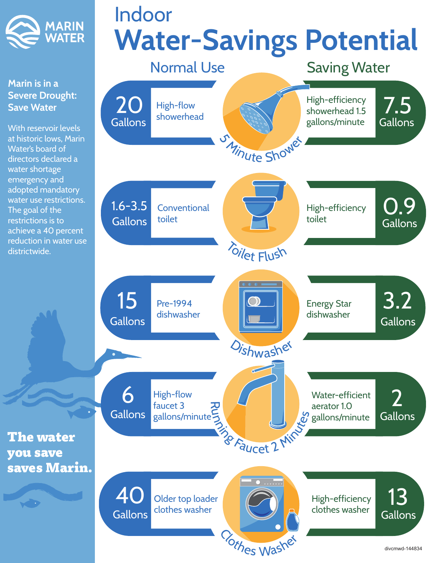